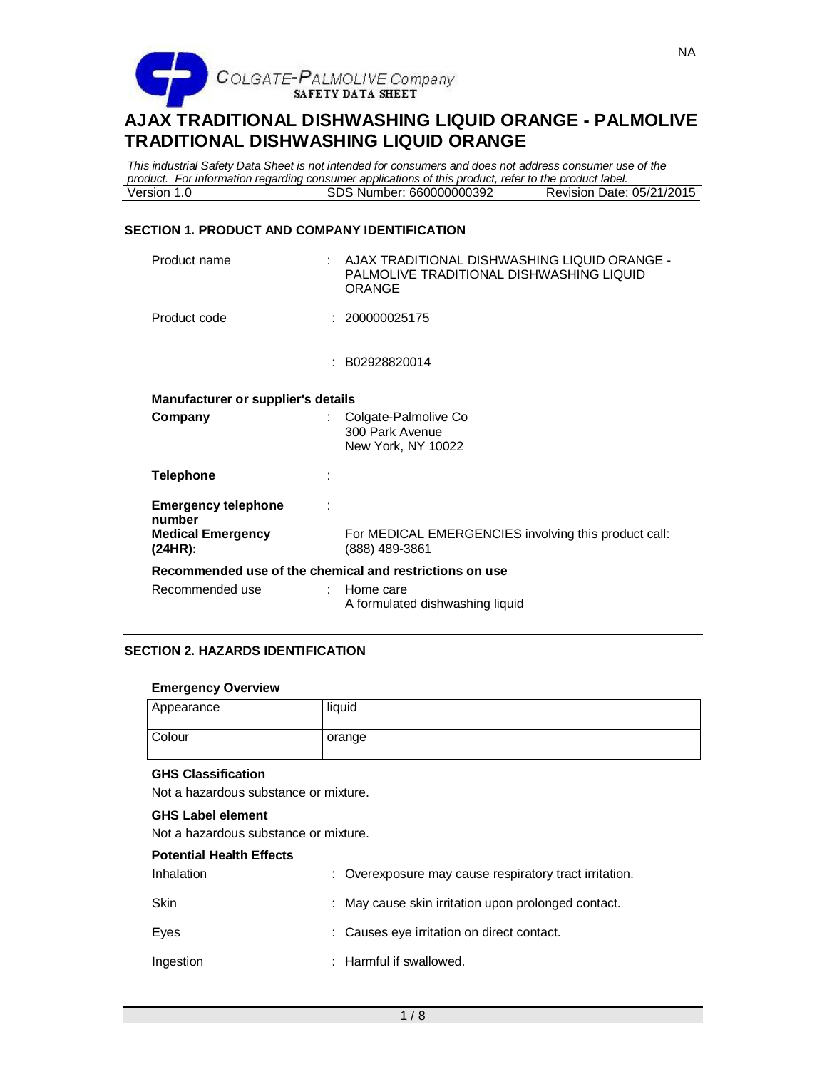

*This industrial Safety Data Sheet is not intended for consumers and does not address consumer use of the product. For information regarding consumer applications of this product, refer to the product label.* SDS Number: 660000000392

# **SECTION 1. PRODUCT AND COMPANY IDENTIFICATION**

| Product name                                            | - AJAX TRADITIONAL DISHWASHING LIQUID ORANGE<br>PALMOLIVE TRADITIONAL DISHWASHING LIQUID<br><b>ORANGE</b> |
|---------------------------------------------------------|-----------------------------------------------------------------------------------------------------------|
| Product code                                            | : 200000025175                                                                                            |
|                                                         | : B02928820014                                                                                            |
| Manufacturer or supplier's details                      |                                                                                                           |
| Company                                                 | : Colgate-Palmolive Co<br>300 Park Avenue<br>New York, NY 10022                                           |
| <b>Telephone</b>                                        |                                                                                                           |
| <b>Emergency telephone</b>                              |                                                                                                           |
| number<br><b>Medical Emergency</b><br>(24HR):           | For MEDICAL EMERGENCIES involving this product call:<br>(888) 489-3861                                    |
| Recommended use of the chemical and restrictions on use |                                                                                                           |
| Recommended use<br>÷                                    | Home care<br>A formulated dishwashing liquid                                                              |

# **SECTION 2. HAZARDS IDENTIFICATION**

#### **Emergency Overview**

| Appearance | liquid |
|------------|--------|
| Colour     | orange |

# **GHS Classification**

Not a hazardous substance or mixture.

## **GHS Label element**

Not a hazardous substance or mixture.

| <b>Potential Health Effects</b> |                                                        |
|---------------------------------|--------------------------------------------------------|
| Inhalation                      | : Overexposure may cause respiratory tract irritation. |
| Skin                            | : May cause skin irritation upon prolonged contact.    |
| Eves                            | : Causes eye irritation on direct contact.             |
| Ingestion                       | : Harmful if swallowed.                                |
|                                 |                                                        |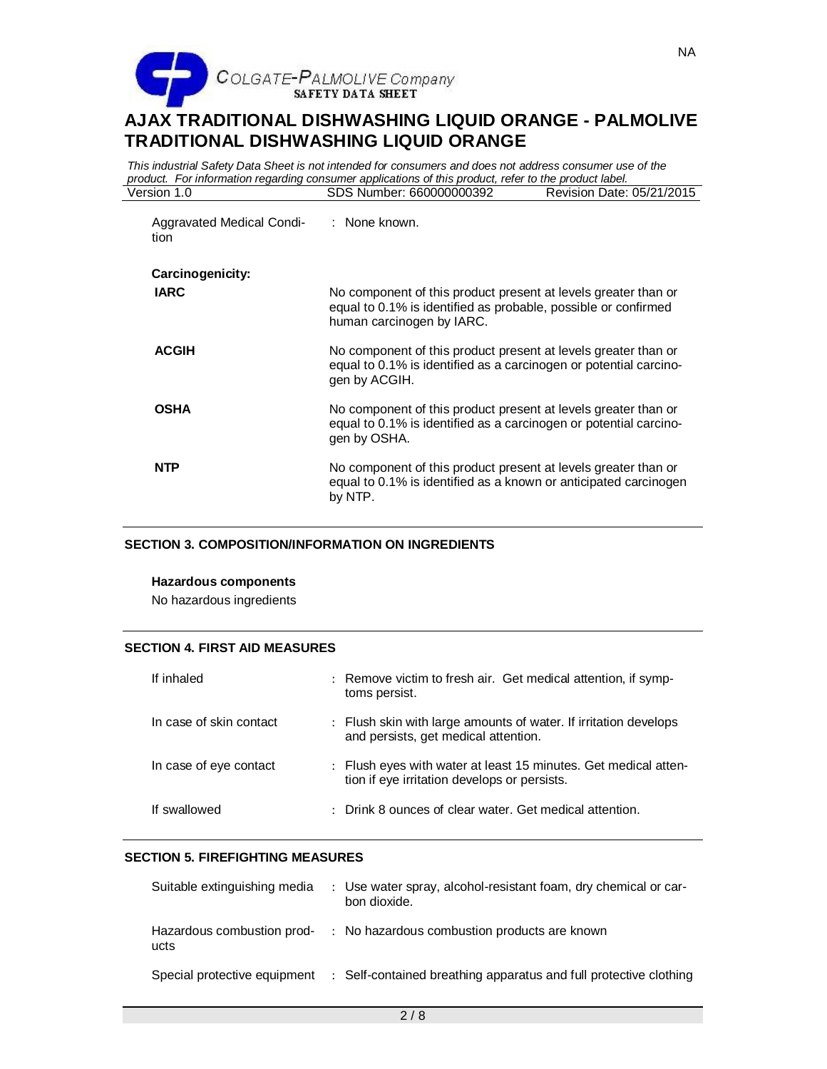

*This industrial Safety Data Sheet is not intended for consumers and does not address consumer use of the product. For information regarding consumer applications of this product, refer to the product label.* SDS Number: 660000000392

| Aggravated Medical Condi-<br>tion | : None known.                                                                                                                                                 |
|-----------------------------------|---------------------------------------------------------------------------------------------------------------------------------------------------------------|
| Carcinogenicity:                  |                                                                                                                                                               |
| <b>IARC</b>                       | No component of this product present at levels greater than or<br>equal to 0.1% is identified as probable, possible or confirmed<br>human carcinogen by IARC. |
| <b>ACGIH</b>                      | No component of this product present at levels greater than or<br>equal to 0.1% is identified as a carcinogen or potential carcino-<br>gen by ACGIH.          |
| <b>OSHA</b>                       | No component of this product present at levels greater than or<br>equal to 0.1% is identified as a carcinogen or potential carcino-<br>gen by OSHA.           |
| <b>NTP</b>                        | No component of this product present at levels greater than or<br>equal to 0.1% is identified as a known or anticipated carcinogen<br>by NTP.                 |

# **SECTION 3. COMPOSITION/INFORMATION ON INGREDIENTS**

#### **Hazardous components**

No hazardous ingredients

## **SECTION 4. FIRST AID MEASURES**

| If inhaled              | : Remove victim to fresh air. Get medical attention, if symp-<br>toms persist.                                  |
|-------------------------|-----------------------------------------------------------------------------------------------------------------|
| In case of skin contact | : Flush skin with large amounts of water. If irritation develops<br>and persists, get medical attention.        |
| In case of eye contact  | : Flush eyes with water at least 15 minutes. Get medical atten-<br>tion if eye irritation develops or persists. |
| If swallowed            | : Drink 8 ounces of clear water. Get medical attention.                                                         |

#### **SECTION 5. FIREFIGHTING MEASURES**

| Suitable extinguishing media       | : Use water spray, alcohol-resistant foam, dry chemical or car-<br>bon dioxide. |
|------------------------------------|---------------------------------------------------------------------------------|
| Hazardous combustion prod-<br>ucts | : No hazardous combustion products are known                                    |
| Special protective equipment       | : Self-contained breathing apparatus and full protective clothing               |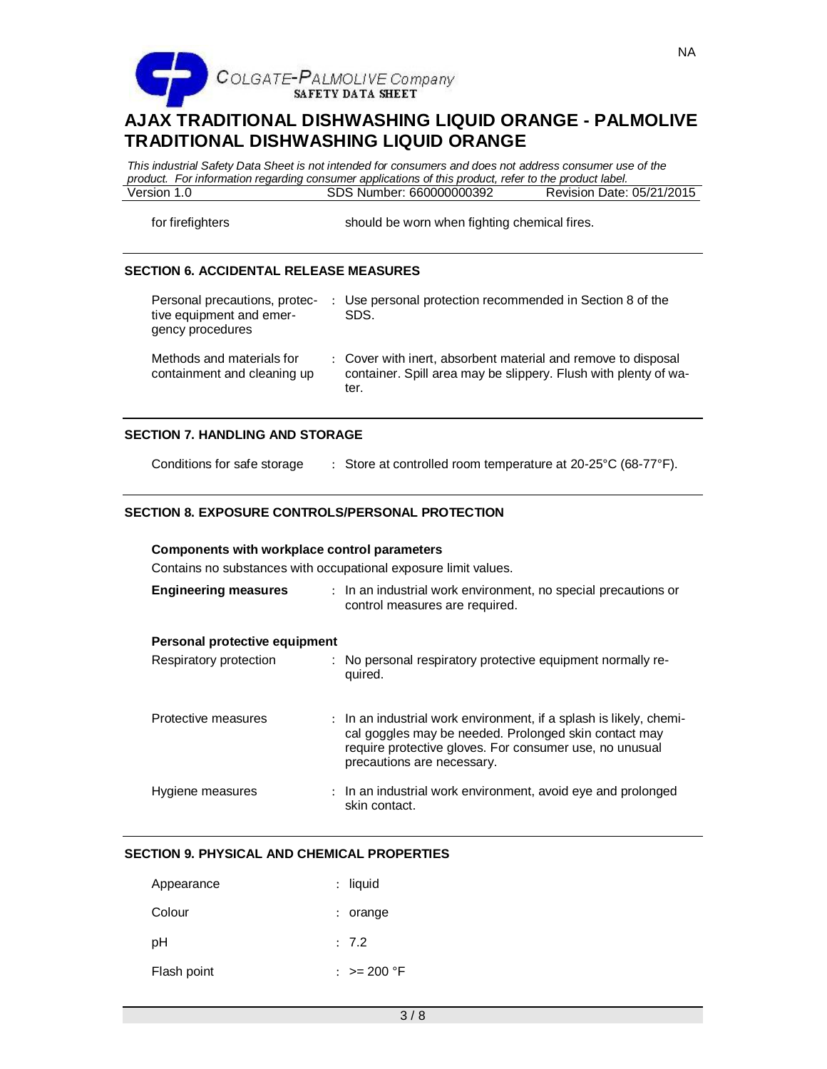

*This industrial Safety Data Sheet is not intended for consumers and does not address consumer use of the product. For information regarding consumer applications of this product, refer to the product label.* SDS Number: 660000000392

for firefighters should be worn when fighting chemical fires.

# **SECTION 6. ACCIDENTAL RELEASE MEASURES**

| Personal precautions, protec-<br>tive equipment and emer-<br>gency procedures | : Use personal protection recommended in Section 8 of the<br>SDS.                                                                        |
|-------------------------------------------------------------------------------|------------------------------------------------------------------------------------------------------------------------------------------|
| Methods and materials for<br>containment and cleaning up                      | : Cover with inert, absorbent material and remove to disposal<br>container. Spill area may be slippery. Flush with plenty of wa-<br>ter. |

### **SECTION 7. HANDLING AND STORAGE**

Conditions for safe storage : Store at controlled room temperature at 20-25°C (68-77°F).

# **SECTION 8. EXPOSURE CONTROLS/PERSONAL PROTECTION**

#### **Components with workplace control parameters**

Contains no substances with occupational exposure limit values.

| <b>Engineering measures</b>   | : In an industrial work environment, no special precautions or<br>control measures are required.                                                                                                                     |
|-------------------------------|----------------------------------------------------------------------------------------------------------------------------------------------------------------------------------------------------------------------|
| Personal protective equipment |                                                                                                                                                                                                                      |
| Respiratory protection        | : No personal respiratory protective equipment normally re-<br>quired.                                                                                                                                               |
| Protective measures           | : In an industrial work environment, if a splash is likely, chemi-<br>cal goggles may be needed. Prolonged skin contact may<br>require protective gloves. For consumer use, no unusual<br>precautions are necessary. |
| Hygiene measures              | : In an industrial work environment, avoid eye and prolonged<br>skin contact.                                                                                                                                        |

# **SECTION 9. PHYSICAL AND CHEMICAL PROPERTIES**

| Appearance  | $:$ liquid  |
|-------------|-------------|
| Colour      | $:$ orange  |
| рH          | : 7.2       |
| Flash point | : >= 200 °F |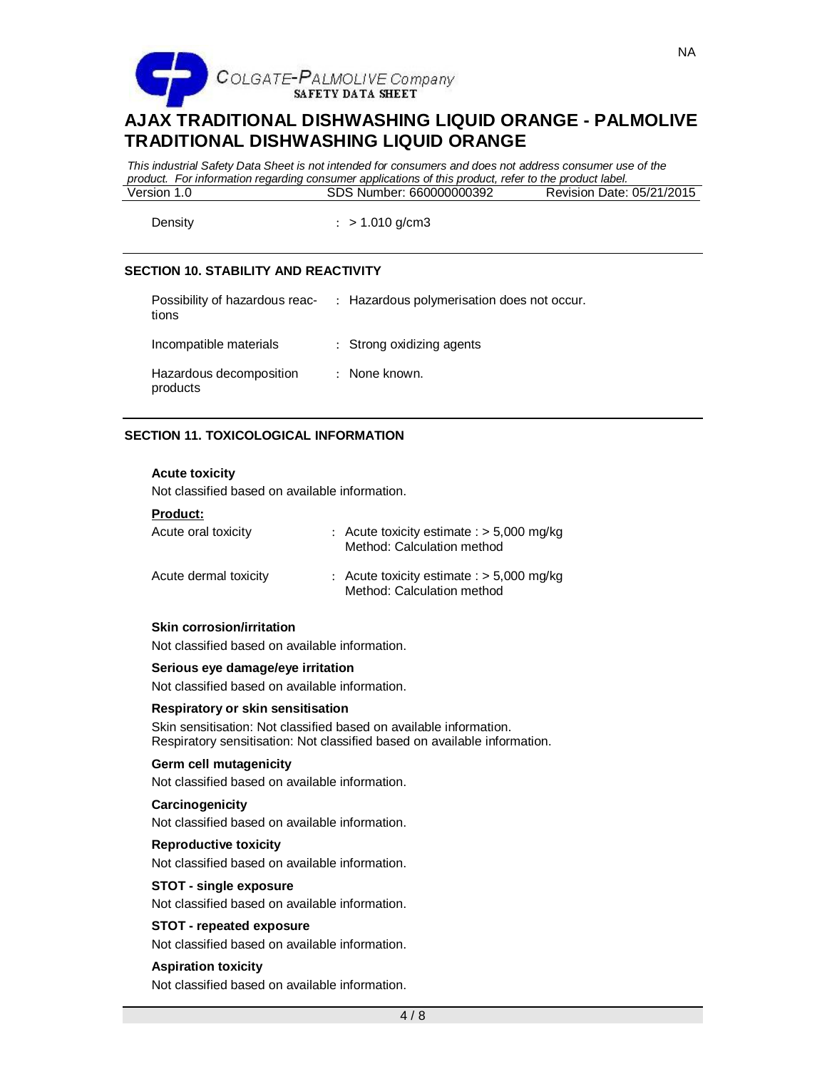

*This industrial Safety Data Sheet is not intended for consumers and does not address consumer use of the product. For information regarding consumer applications of this product, refer to the product label.* SDS Number: 660000000392

Density : > 1.010 g/cm3

## **SECTION 10. STABILITY AND REACTIVITY**

| Possibility of hazardous reac-<br>tions | : Hazardous polymerisation does not occur. |
|-----------------------------------------|--------------------------------------------|
| Incompatible materials                  | : Strong oxidizing agents                  |
| Hazardous decomposition<br>products     | : None known.                              |

### **SECTION 11. TOXICOLOGICAL INFORMATION**

#### **Acute toxicity**

Not classified based on available information.

|  |  |  | Product: |  |  |  |  |  |
|--|--|--|----------|--|--|--|--|--|
|--|--|--|----------|--|--|--|--|--|

| Acute oral toxicity   | : Acute toxicity estimate : $> 5,000$ mg/kg<br>Method: Calculation method |
|-----------------------|---------------------------------------------------------------------------|
| Acute dermal toxicity | : Acute toxicity estimate : $>$ 5,000 mg/kg<br>Method: Calculation method |

#### **Skin corrosion/irritation**

Not classified based on available information.

## **Serious eye damage/eye irritation**

Not classified based on available information.

#### **Respiratory or skin sensitisation**

Skin sensitisation: Not classified based on available information. Respiratory sensitisation: Not classified based on available information.

#### **Germ cell mutagenicity**

Not classified based on available information.

#### **Carcinogenicity**

Not classified based on available information.

### **Reproductive toxicity**

Not classified based on available information.

#### **STOT - single exposure**

Not classified based on available information.

### **STOT - repeated exposure**

Not classified based on available information.

#### **Aspiration toxicity**

Not classified based on available information.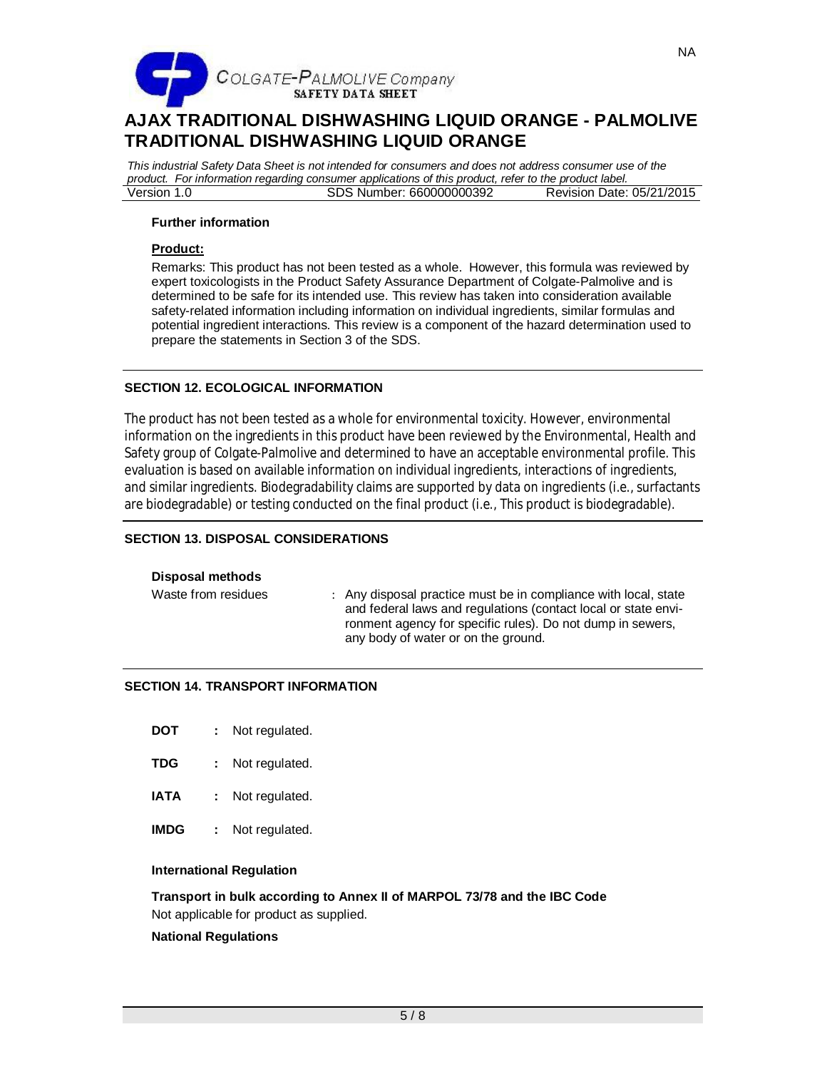

*This industrial Safety Data Sheet is not intended for consumers and does not address consumer use of the product. For information regarding consumer applications of this product, refer to the product label.* Version 1.0 SDS Number: 660000000392

## **Further information**

### **Product:**

Remarks: This product has not been tested as a whole. However, this formula was reviewed by expert toxicologists in the Product Safety Assurance Department of Colgate-Palmolive and is determined to be safe for its intended use. This review has taken into consideration available safety-related information including information on individual ingredients, similar formulas and potential ingredient interactions. This review is a component of the hazard determination used to prepare the statements in Section 3 of the SDS.

# **SECTION 12. ECOLOGICAL INFORMATION**

The product has not been tested as a whole for environmental toxicity. However, environmental information on the ingredients in this product have been reviewed by the Environmental, Health and Safety group of Colgate-Palmolive and determined to have an acceptable environmental profile. This evaluation is based on available information on individual ingredients, interactions of ingredients, and similar ingredients. Biodegradability claims are supported by data on ingredients (i.e., surfactants are biodegradable) or testing conducted on the final product (i.e., This product is biodegradable).

# **SECTION 13. DISPOSAL CONSIDERATIONS**

#### **Disposal methods**

Waste from residues : Any disposal practice must be in compliance with local, state and federal laws and regulations (contact local or state environment agency for specific rules). Do not dump in sewers, any body of water or on the ground.

# **SECTION 14. TRANSPORT INFORMATION**

- **DOT :** Not regulated.
- **TDG :** Not regulated.
- **IATA :** Not regulated.
- **IMDG :** Not regulated.

#### **International Regulation**

**Transport in bulk according to Annex II of MARPOL 73/78 and the IBC Code** Not applicable for product as supplied.

#### **National Regulations**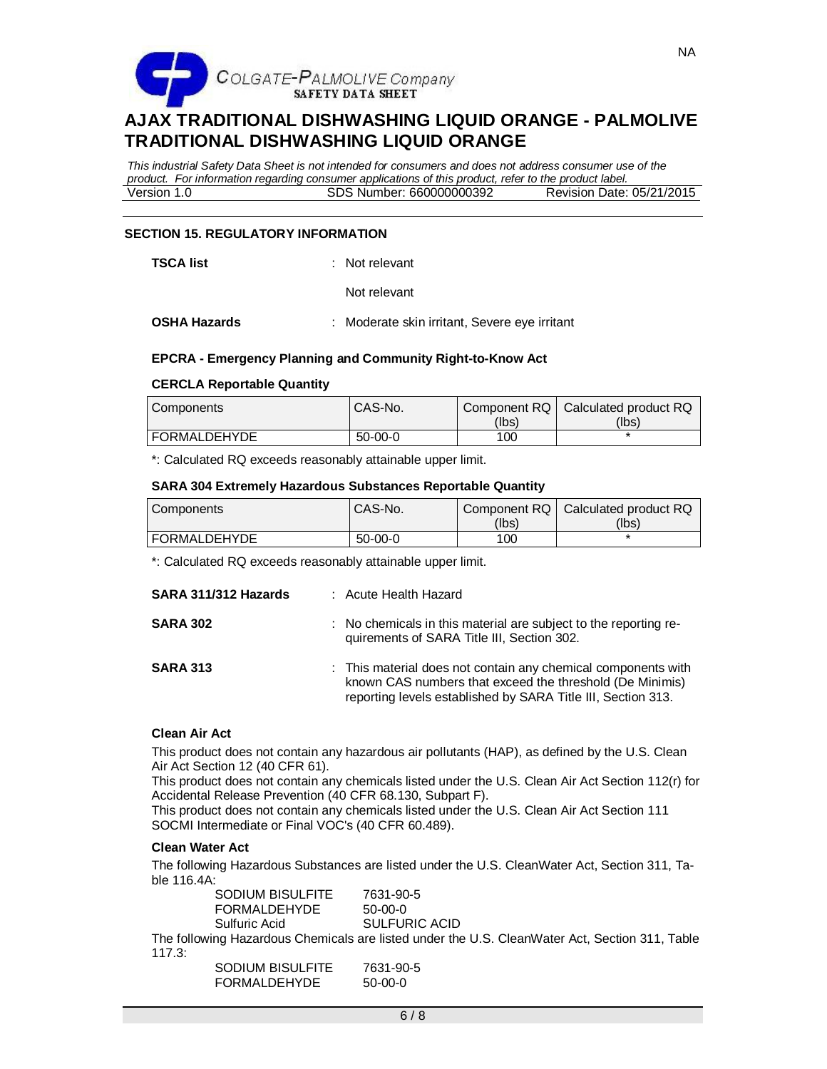

*This industrial Safety Data Sheet is not intended for consumers and does not address consumer use of the product. For information regarding consumer applications of this product, refer to the product label.* Version 1.0 SDS Number: 660000000392

### **SECTION 15. REGULATORY INFORMATION**

**TSCA list** : Not relevant

Not relevant

**OSHA Hazards** : Moderate skin irritant, Severe eye irritant

### **EPCRA - Emergency Planning and Community Right-to-Know Act**

#### **CERCLA Reportable Quantity**

| l Components        | CAS-No.   | (Ibs) | Component RQ   Calculated product RQ<br>(lbs) |
|---------------------|-----------|-------|-----------------------------------------------|
| <b>FORMALDEHYDE</b> | $50-00-0$ | 100   |                                               |

\*: Calculated RQ exceeds reasonably attainable upper limit.

#### **SARA 304 Extremely Hazardous Substances Reportable Quantity**

| Components   | CAS-No.   | Component RQ | Calculated product RQ |
|--------------|-----------|--------------|-----------------------|
|              |           | (lbs)        | (lbs)                 |
| FORMALDEHYDE | $50-00-0$ | 100          |                       |

\*: Calculated RQ exceeds reasonably attainable upper limit.

| SARA 311/312 Hazards | : Acute Health Hazard                                                                                                                                                                     |
|----------------------|-------------------------------------------------------------------------------------------------------------------------------------------------------------------------------------------|
| <b>SARA 302</b>      | : No chemicals in this material are subject to the reporting re-<br>quirements of SARA Title III, Section 302.                                                                            |
| <b>SARA 313</b>      | : This material does not contain any chemical components with<br>known CAS numbers that exceed the threshold (De Minimis)<br>reporting levels established by SARA Title III, Section 313. |

#### **Clean Air Act**

This product does not contain any hazardous air pollutants (HAP), as defined by the U.S. Clean Air Act Section 12 (40 CFR 61).

This product does not contain any chemicals listed under the U.S. Clean Air Act Section 112(r) for Accidental Release Prevention (40 CFR 68.130, Subpart F).

This product does not contain any chemicals listed under the U.S. Clean Air Act Section 111 SOCMI Intermediate or Final VOC's (40 CFR 60.489).

#### **Clean Water Act**

The following Hazardous Substances are listed under the U.S. CleanWater Act, Section 311, Table 116.4A:

| <b>SODIUM BISULFITE</b> | 7631-90-5            |
|-------------------------|----------------------|
| <b>FORMALDEHYDE</b>     | $50-00-0$            |
| Sulfuric Acid           | <b>SULFURIC ACID</b> |
|                         |                      |

The following Hazardous Chemicals are listed under the U.S. CleanWater Act, Section 311, Table 117.3:

| <b>SODIUM BISULFITE</b> | 7631-90-5 |
|-------------------------|-----------|
| <b>FORMALDEHYDE</b>     | 50-00-0   |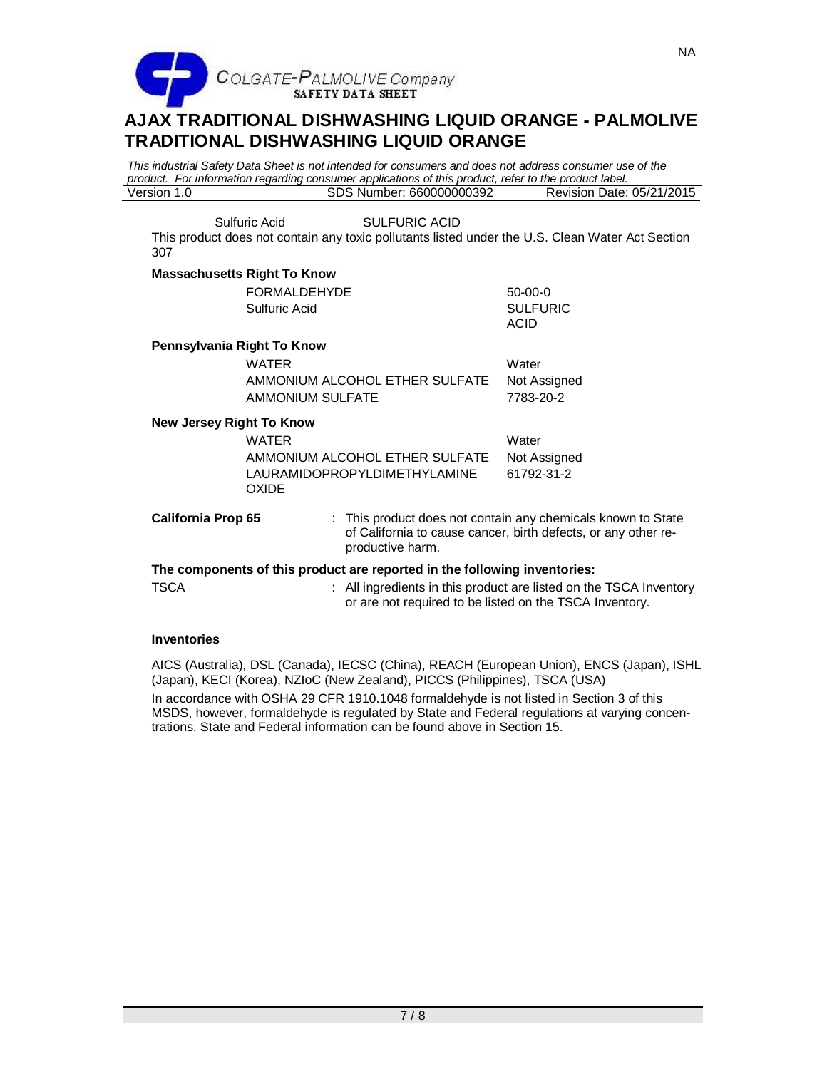

*This industrial Safety Data Sheet is not intended for consumers and does not address consumer use of the product. For information regarding consumer applications of this product, refer to the product label.* SDS Number: 660000000392

Sulfuric Acid SULFURIC ACID

This product does not contain any toxic pollutants listed under the U.S. Clean Water Act Section 307

## **Massachusetts Right To Know**

|                                                                           | <b>FORMALDEHYDE</b><br>Sulfuric Acid                | $50-00-0$<br><b>SULFURIC</b><br>ACID                                                                                           |  |  |
|---------------------------------------------------------------------------|-----------------------------------------------------|--------------------------------------------------------------------------------------------------------------------------------|--|--|
|                                                                           | Pennsylvania Right To Know                          |                                                                                                                                |  |  |
|                                                                           | WATER                                               | Water                                                                                                                          |  |  |
|                                                                           | AMMONIUM ALCOHOL ETHER SULFATE                      | Not Assigned                                                                                                                   |  |  |
|                                                                           | AMMONIUM SULFATE                                    | 7783-20-2                                                                                                                      |  |  |
| New Jersey Right To Know                                                  |                                                     |                                                                                                                                |  |  |
|                                                                           | WATER                                               | Water                                                                                                                          |  |  |
|                                                                           | AMMONIUM ALCOHOL ETHER SULFATE                      | Not Assigned                                                                                                                   |  |  |
|                                                                           | <b>LAURAMIDOPROPYLDIMETHYLAMINE</b><br><b>OXIDE</b> | 61792-31-2                                                                                                                     |  |  |
| <b>California Prop 65</b>                                                 | productive harm.                                    | : This product does not contain any chemicals known to State<br>of California to cause cancer, birth defects, or any other re- |  |  |
| The components of this product are reported in the following inventories: |                                                     |                                                                                                                                |  |  |
| <b>TSCA</b>                                                               |                                                     | : All ingredients in this product are listed on the TSCA Inventory<br>or are not required to be listed on the TSCA Inventory.  |  |  |

# **Inventories**

AICS (Australia), DSL (Canada), IECSC (China), REACH (European Union), ENCS (Japan), ISHL (Japan), KECI (Korea), NZIoC (New Zealand), PICCS (Philippines), TSCA (USA) In accordance with OSHA 29 CFR 1910.1048 formaldehyde is not listed in Section 3 of this MSDS, however, formaldehyde is regulated by State and Federal regulations at varying concentrations. State and Federal information can be found above in Section 15.